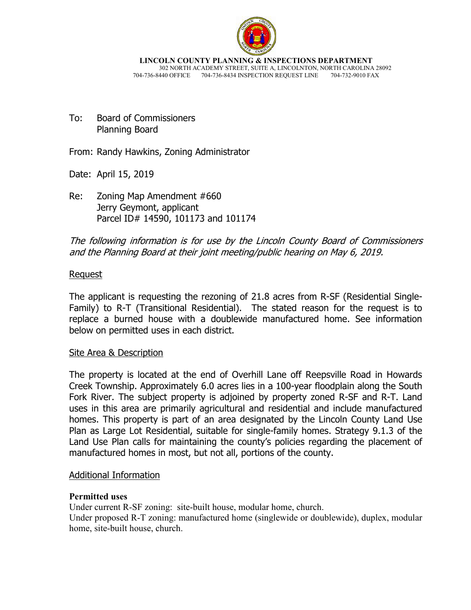

**LINCOLN COUNTY PLANNING & INSPECTIONS DEPARTMENT** 302 NORTH ACADEMY STREET, SUITE A, LINCOLNTON, NORTH CAROLINA 28092 704-736-8440 OFFICE 704-736-8434 INSPECTION REQUEST LINE 704-732-9010 FAX

To: Board of Commissioners Planning Board

From: Randy Hawkins, Zoning Administrator

Date: April 15, 2019

Re: Zoning Map Amendment #660 Jerry Geymont, applicant Parcel ID# 14590, 101173 and 101174

The following information is for use by the Lincoln County Board of Commissioners and the Planning Board at their joint meeting/public hearing on May 6, 2019.

# Request

The applicant is requesting the rezoning of 21.8 acres from R-SF (Residential Single-Family) to R-T (Transitional Residential). The stated reason for the request is to replace a burned house with a doublewide manufactured home. See information below on permitted uses in each district.

## Site Area & Description

The property is located at the end of Overhill Lane off Reepsville Road in Howards Creek Township. Approximately 6.0 acres lies in a 100-year floodplain along the South Fork River. The subject property is adjoined by property zoned R-SF and R-T. Land uses in this area are primarily agricultural and residential and include manufactured homes. This property is part of an area designated by the Lincoln County Land Use Plan as Large Lot Residential, suitable for single-family homes. Strategy 9.1.3 of the Land Use Plan calls for maintaining the county's policies regarding the placement of manufactured homes in most, but not all, portions of the county.

## Additional Information

#### **Permitted uses**

Under current R-SF zoning: site-built house, modular home, church. Under proposed R-T zoning: manufactured home (singlewide or doublewide), duplex, modular home, site-built house, church.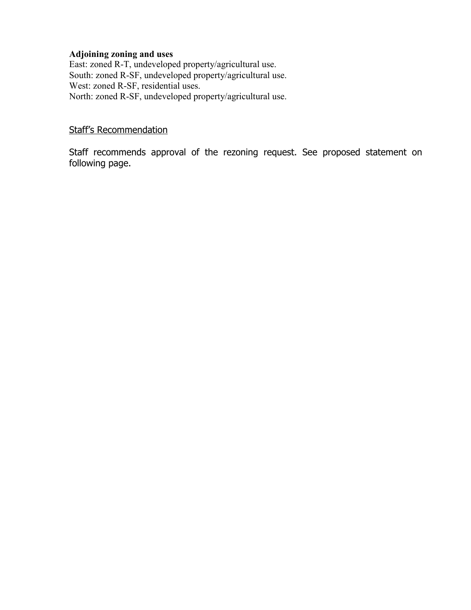### **Adjoining zoning and uses**

East: zoned R-T, undeveloped property/agricultural use. South: zoned R-SF, undeveloped property/agricultural use. West: zoned R-SF, residential uses. North: zoned R-SF, undeveloped property/agricultural use.

# Staff's Recommendation

Staff recommends approval of the rezoning request. See proposed statement on following page.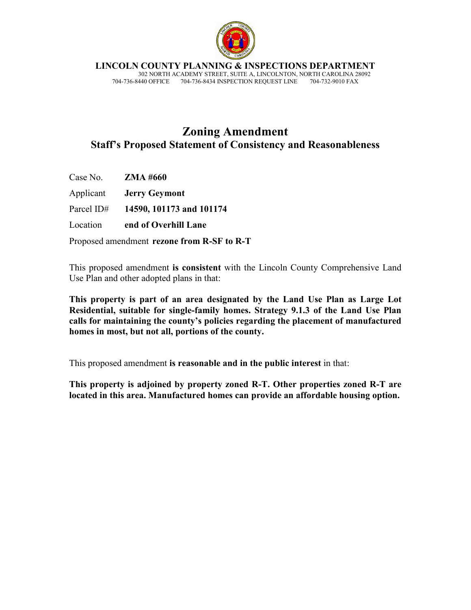

**LINCOLN COUNTY PLANNING & INSPECTIONS DEPARTMENT**

 302 NORTH ACADEMY STREET, SUITE A, LINCOLNTON, NORTH CAROLINA 28092 704-736-8440 OFFICE 704-736-8434 INSPECTION REQUEST LINE 704-732-9010 FAX

# **Zoning Amendment Staff's Proposed Statement of Consistency and Reasonableness**

| Case No. $ZMA \#660$ |                                            |
|----------------------|--------------------------------------------|
|                      | <b>Applicant Jerry Geymont</b>             |
| Parcel ID#           | 14590, 101173 and 101174                   |
| Location             | end of Overhill Lane                       |
|                      | Proposed amendment rezone from R-SF to R-T |

This proposed amendment **is consistent** with the Lincoln County Comprehensive Land Use Plan and other adopted plans in that:

**This property is part of an area designated by the Land Use Plan as Large Lot Residential, suitable for single-family homes. Strategy 9.1.3 of the Land Use Plan calls for maintaining the county's policies regarding the placement of manufactured homes in most, but not all, portions of the county.**

This proposed amendment **is reasonable and in the public interest** in that:

**This property is adjoined by property zoned R-T. Other properties zoned R-T are located in this area. Manufactured homes can provide an affordable housing option.**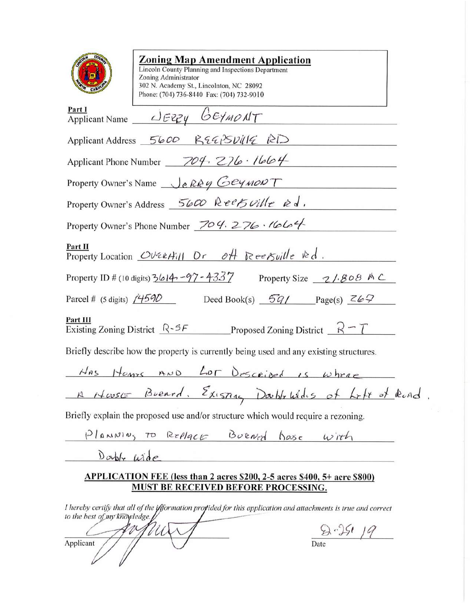| <b>Zoning Map Amendment Application</b><br>Lincoln County Planning and Inspections Department<br>Zoning Administrator<br>302 N. Academy St., Lincolnton, NC 28092<br>Phone: (704) 736-8440 Fax: (704) 732-9010 |  |
|----------------------------------------------------------------------------------------------------------------------------------------------------------------------------------------------------------------|--|
| Part I<br>Applicant Name $\angle Eey \& Ey$                                                                                                                                                                    |  |
| Applicant Address 5600 REGPSV41E RD                                                                                                                                                                            |  |
| Applicant Phone Number $\frac{704}{5276}$ . 1664                                                                                                                                                               |  |
| Property Owner's Name Je Redy Gey MONT                                                                                                                                                                         |  |
| Property Owner's Address 5600 Reef ville is d.                                                                                                                                                                 |  |
| Property Owner's Phone Number 704.276.1664                                                                                                                                                                     |  |
| Part II<br>Property Location OverHill Dr off Reepville $\forall d$ .                                                                                                                                           |  |
| Property ID # (10 digits) $3614 - 97 - 4337$<br>Property Size $\sim$ 7/.808 A $\subset$                                                                                                                        |  |
| Deed Book(s) $\frac{6q}{\sqrt{q}}$ Page(s) $\frac{26q}{\sqrt{q}}$<br>Parcel # (5 digits) $/4590$                                                                                                               |  |
| Part III<br>Existing Zoning District $\sqrt{R^2 + 5F}$ Proposed Zoning District $\sqrt{R} - \sqrt{T}$                                                                                                          |  |
| Briefly describe how the property is currently being used and any existing structures.                                                                                                                         |  |
| Has Homes AND LOT Described is where                                                                                                                                                                           |  |
| A Hasse Bread, Existing Darblowdes of Loft of Read.                                                                                                                                                            |  |
| Briefly explain the proposed use and/or structure which would require a rezoning.                                                                                                                              |  |
| Planning To Replace Burned house with                                                                                                                                                                          |  |
| Double urde                                                                                                                                                                                                    |  |
| APPLICATION FEE (less than 2 acres \$200, 2-5 acres \$400, 5+ acre \$800)<br>MUST BE RECEIVED BEFORE PROCESSING.                                                                                               |  |
| I hereby certify that all of the information projided for this application and attachments is true and correct<br>to the best of my knowledge.                                                                 |  |

Applicant May

 $\frac{Q \cdot 25!}{\text{Date}}$  /9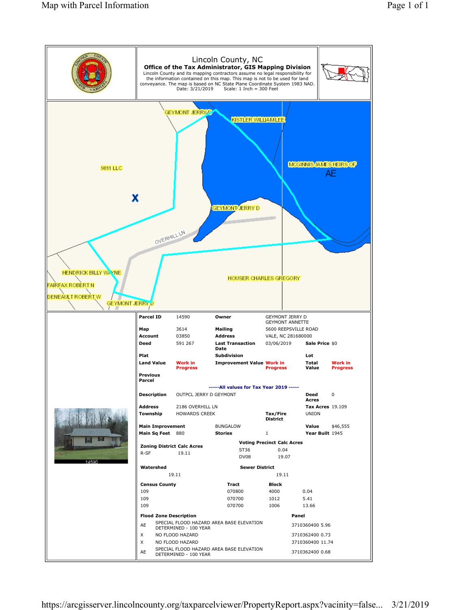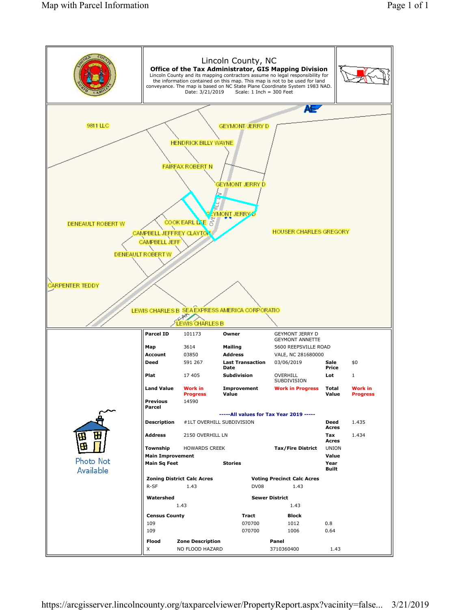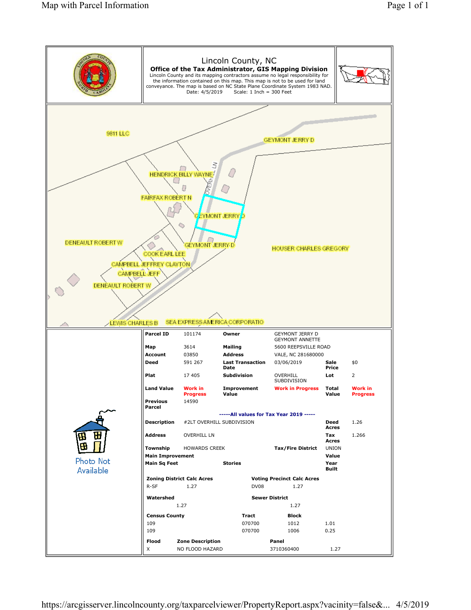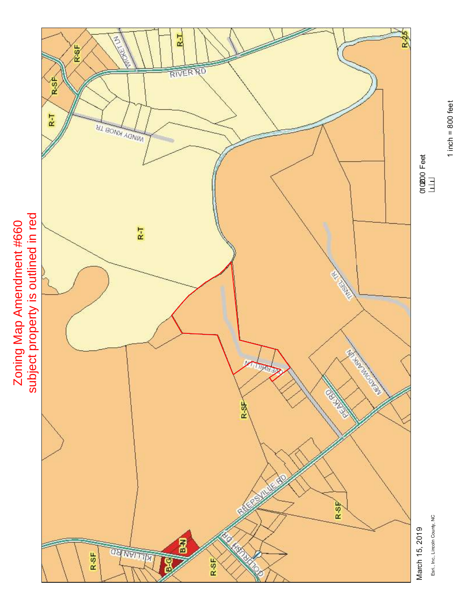

Esri, Inc., Lincoln County, NC Esri., Inc., Lincoln County, NC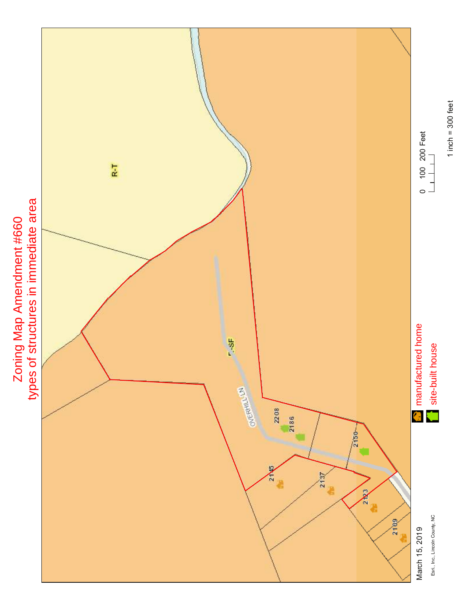